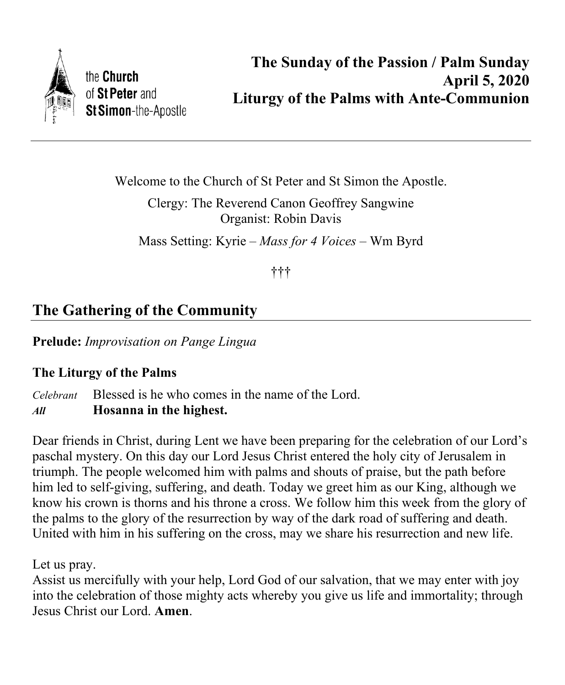

Welcome to the Church of St Peter and St Simon the Apostle.

Clergy: The Reverend Canon Geoffrey Sangwine Organist: Robin Davis

Mass Setting: Kyrie – *Mass for 4 Voices* – Wm Byrd

†††

# **The Gathering of the Community**

**Prelude:** *Improvisation on Pange Lingua* 

## **The Liturgy of the Palms**

*Celebrant* Blessed is he who comes in the name of the Lord. *All* **Hosanna in the highest.**

Dear friends in Christ, during Lent we have been preparing for the celebration of our Lord's paschal mystery. On this day our Lord Jesus Christ entered the holy city of Jerusalem in triumph. The people welcomed him with palms and shouts of praise, but the path before him led to self-giving, suffering, and death. Today we greet him as our King, although we know his crown is thorns and his throne a cross. We follow him this week from the glory of the palms to the glory of the resurrection by way of the dark road of suffering and death. United with him in his suffering on the cross, may we share his resurrection and new life.

Let us pray.

Assist us mercifully with your help, Lord God of our salvation, that we may enter with joy into the celebration of those mighty acts whereby you give us life and immortality; through Jesus Christ our Lord. **Amen**.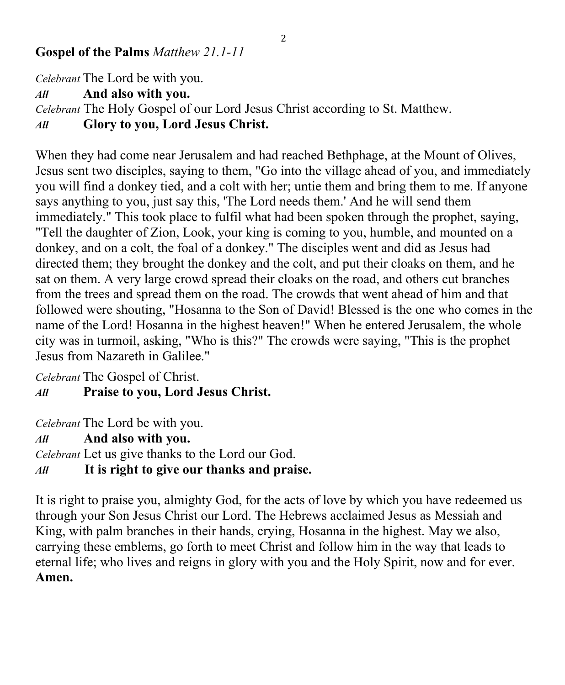### **Gospel of the Palms** *Matthew 21.1-11*

*Celebrant* The Lord be with you. *All* **And also with you.**  *Celebrant* The Holy Gospel of our Lord Jesus Christ according to St. Matthew. *All* **Glory to you, Lord Jesus Christ.** 

When they had come near Jerusalem and had reached Bethphage, at the Mount of Olives, Jesus sent two disciples, saying to them, "Go into the village ahead of you, and immediately you will find a donkey tied, and a colt with her; untie them and bring them to me. If anyone says anything to you, just say this, 'The Lord needs them.' And he will send them immediately." This took place to fulfil what had been spoken through the prophet, saying, "Tell the daughter of Zion, Look, your king is coming to you, humble, and mounted on a donkey, and on a colt, the foal of a donkey." The disciples went and did as Jesus had directed them; they brought the donkey and the colt, and put their cloaks on them, and he sat on them. A very large crowd spread their cloaks on the road, and others cut branches from the trees and spread them on the road. The crowds that went ahead of him and that followed were shouting, "Hosanna to the Son of David! Blessed is the one who comes in the name of the Lord! Hosanna in the highest heaven!" When he entered Jerusalem, the whole city was in turmoil, asking, "Who is this?" The crowds were saying, "This is the prophet Jesus from Nazareth in Galilee."

*Celebrant* The Gospel of Christ. *All* **Praise to you, Lord Jesus Christ.** 

*Celebrant* The Lord be with you. *All* **And also with you.**  *Celebrant* Let us give thanks to the Lord our God. *All* **It is right to give our thanks and praise.**

It is right to praise you, almighty God, for the acts of love by which you have redeemed us through your Son Jesus Christ our Lord. The Hebrews acclaimed Jesus as Messiah and King, with palm branches in their hands, crying, Hosanna in the highest. May we also, carrying these emblems, go forth to meet Christ and follow him in the way that leads to eternal life; who lives and reigns in glory with you and the Holy Spirit, now and for ever. **Amen.**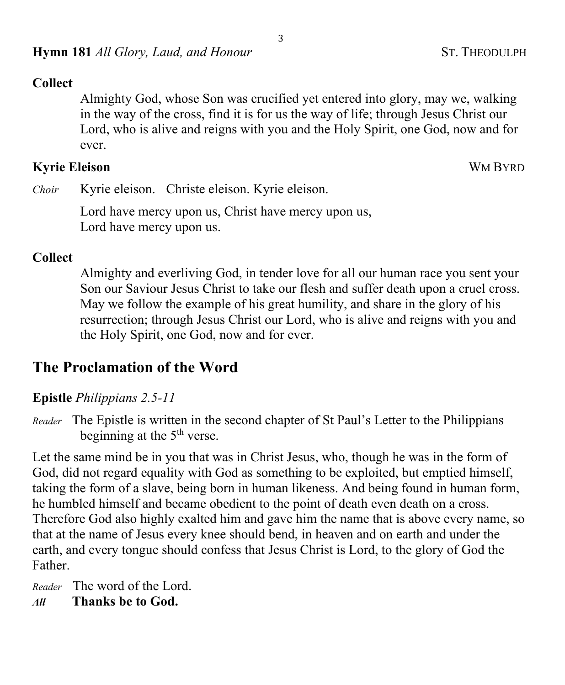### **Collect**

Almighty God, whose Son was crucified yet entered into glory, may we, walking in the way of the cross, find it is for us the way of life; through Jesus Christ our Lord, who is alive and reigns with you and the Holy Spirit, one God, now and for ever.

### **Kyrie Eleison** WM BYRD

*Choir* Kyrie eleison. Christe eleison. Kyrie eleison.

Lord have mercy upon us, Christ have mercy upon us, Lord have mercy upon us.

### **Collect**

Almighty and everliving God, in tender love for all our human race you sent your Son our Saviour Jesus Christ to take our flesh and suffer death upon a cruel cross. May we follow the example of his great humility, and share in the glory of his resurrection; through Jesus Christ our Lord, who is alive and reigns with you and the Holy Spirit, one God, now and for ever.

# **The Proclamation of the Word**

## **Epistle** *Philippians 2.5-11*

*Reader* The Epistle is written in the second chapter of St Paul's Letter to the Philippians beginning at the  $5<sup>th</sup>$  verse.

Let the same mind be in you that was in Christ Jesus, who, though he was in the form of God, did not regard equality with God as something to be exploited, but emptied himself, taking the form of a slave, being born in human likeness. And being found in human form, he humbled himself and became obedient to the point of death even death on a cross. Therefore God also highly exalted him and gave him the name that is above every name, so that at the name of Jesus every knee should bend, in heaven and on earth and under the earth, and every tongue should confess that Jesus Christ is Lord, to the glory of God the Father.

*Reader* The word of the Lord. *All* **Thanks be to God.**

3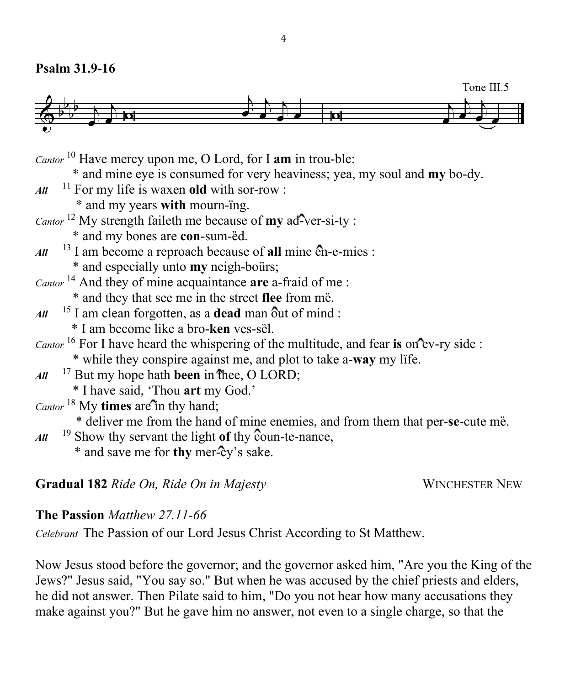**Psalm 31.9-16**



*Cantor* <sup>10</sup> Have mercy upon me, O Lord, for I **am** in trou-ble: \* and mine eye is consumed for very heaviness; yea, my soul and **my** bo-dy.  $AU$ <sup>11</sup> For my life is waxen old with sor-row : \* and my years **with** mourn-ïng. *Cantor*<sup>12</sup> My strength faileth me because of **my** ad<sup>2</sup>ver-si-ty: \* and my bones are **con**-sum-èd. *All*<sup>13</sup> I am become a reproach because of **all** mine  $\hat{e}$ h-e-mies : \* and especially unto **my** neigh-boürs; *Cantor* <sup>14</sup> And they of mine acquaintance **are** a-fraid of me : \* and they that see me in the street **flee** from mȅ.  $AU$ <sup>15</sup> I am clean forgotten, as a **dead** man out of mind : \* I am become like a bro-**ken** ves-sȅl. *Cantor* <sup>16</sup> For I have heard the whispering of the multitude, and fear **is** on ev-ry side : \* while they conspire against me, and plot to take a-**way** my lïfe. *All*<sup>17</sup> But my hope hath **been** in thee, O LORD; \* I have said, 'Thou **art** my God.' *Cantor* <sup>18</sup> My **times** are in thy hand; \* deliver me from the hand of mine enemies, and from them that per-**se**-cute mȅ. *All*<sup>19</sup> Show thy servant the light of thy coun-te-nance, \* and save me for **thy** mer-cy's sake.

Gradual 182 Ride On, Ride On in Majesty WINCHESTER NEW

### **The Passion** *Matthew 27.11-66*

*Celebrant* The Passion of our Lord Jesus Christ According to St Matthew.

Now Jesus stood before the governor; and the governor asked him, "Are you the King of the Jews?" Jesus said, "You say so." But when he was accused by the chief priests and elders, he did not answer. Then Pilate said to him, "Do you not hear how many accusations they make against you?" But he gave him no answer, not even to a single charge, so that the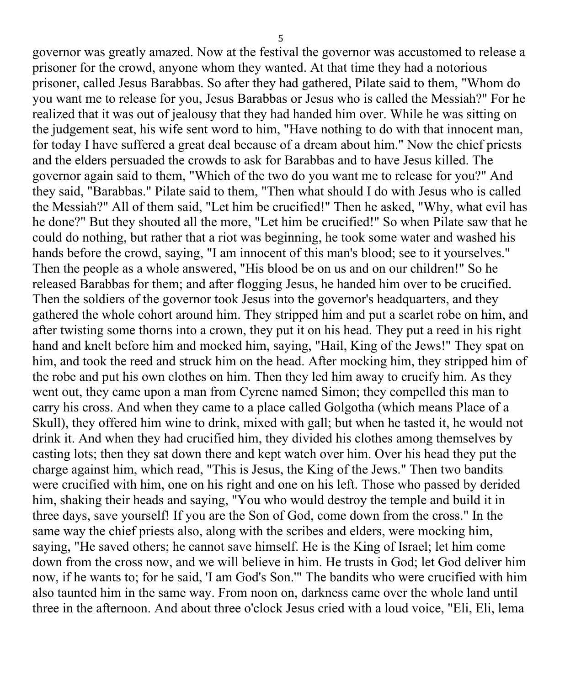governor was greatly amazed. Now at the festival the governor was accustomed to release a prisoner for the crowd, anyone whom they wanted. At that time they had a notorious prisoner, called Jesus Barabbas. So after they had gathered, Pilate said to them, "Whom do you want me to release for you, Jesus Barabbas or Jesus who is called the Messiah?" For he realized that it was out of jealousy that they had handed him over. While he was sitting on the judgement seat, his wife sent word to him, "Have nothing to do with that innocent man, for today I have suffered a great deal because of a dream about him." Now the chief priests and the elders persuaded the crowds to ask for Barabbas and to have Jesus killed. The governor again said to them, "Which of the two do you want me to release for you?" And they said, "Barabbas." Pilate said to them, "Then what should I do with Jesus who is called the Messiah?" All of them said, "Let him be crucified!" Then he asked, "Why, what evil has he done?" But they shouted all the more, "Let him be crucified!" So when Pilate saw that he could do nothing, but rather that a riot was beginning, he took some water and washed his hands before the crowd, saying, "I am innocent of this man's blood; see to it yourselves." Then the people as a whole answered, "His blood be on us and on our children!" So he released Barabbas for them; and after flogging Jesus, he handed him over to be crucified. Then the soldiers of the governor took Jesus into the governor's headquarters, and they gathered the whole cohort around him. They stripped him and put a scarlet robe on him, and after twisting some thorns into a crown, they put it on his head. They put a reed in his right hand and knelt before him and mocked him, saying, "Hail, King of the Jews!" They spat on him, and took the reed and struck him on the head. After mocking him, they stripped him of the robe and put his own clothes on him. Then they led him away to crucify him. As they went out, they came upon a man from Cyrene named Simon; they compelled this man to carry his cross. And when they came to a place called Golgotha (which means Place of a Skull), they offered him wine to drink, mixed with gall; but when he tasted it, he would not drink it. And when they had crucified him, they divided his clothes among themselves by casting lots; then they sat down there and kept watch over him. Over his head they put the charge against him, which read, "This is Jesus, the King of the Jews." Then two bandits were crucified with him, one on his right and one on his left. Those who passed by derided him, shaking their heads and saying, "You who would destroy the temple and build it in three days, save yourself! If you are the Son of God, come down from the cross." In the same way the chief priests also, along with the scribes and elders, were mocking him,

saying, "He saved others; he cannot save himself. He is the King of Israel; let him come down from the cross now, and we will believe in him. He trusts in God; let God deliver him now, if he wants to; for he said, 'I am God's Son.'" The bandits who were crucified with him also taunted him in the same way. From noon on, darkness came over the whole land until three in the afternoon. And about three o'clock Jesus cried with a loud voice, "Eli, Eli, lema

5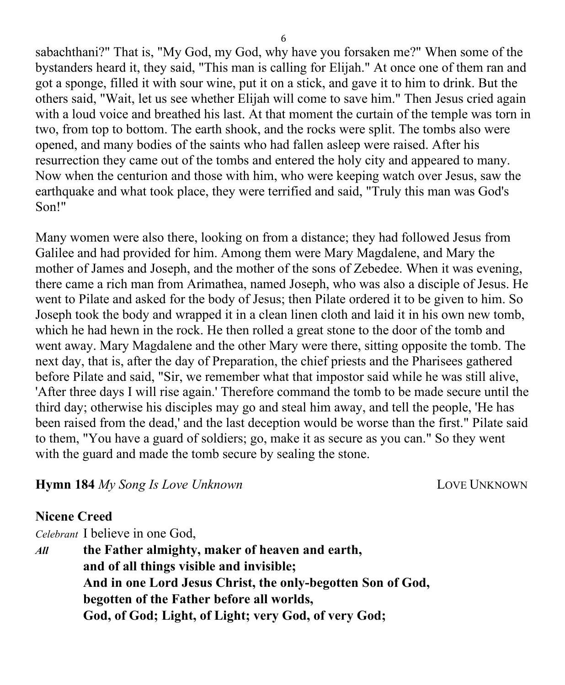sabachthani?" That is, "My God, my God, why have you forsaken me?" When some of the bystanders heard it, they said, "This man is calling for Elijah." At once one of them ran and got a sponge, filled it with sour wine, put it on a stick, and gave it to him to drink. But the others said, "Wait, let us see whether Elijah will come to save him." Then Jesus cried again with a loud voice and breathed his last. At that moment the curtain of the temple was torn in two, from top to bottom. The earth shook, and the rocks were split. The tombs also were opened, and many bodies of the saints who had fallen asleep were raised. After his resurrection they came out of the tombs and entered the holy city and appeared to many. Now when the centurion and those with him, who were keeping watch over Jesus, saw the earthquake and what took place, they were terrified and said, "Truly this man was God's Son!"

Many women were also there, looking on from a distance; they had followed Jesus from Galilee and had provided for him. Among them were Mary Magdalene, and Mary the mother of James and Joseph, and the mother of the sons of Zebedee. When it was evening, there came a rich man from Arimathea, named Joseph, who was also a disciple of Jesus. He went to Pilate and asked for the body of Jesus; then Pilate ordered it to be given to him. So Joseph took the body and wrapped it in a clean linen cloth and laid it in his own new tomb, which he had hewn in the rock. He then rolled a great stone to the door of the tomb and went away. Mary Magdalene and the other Mary were there, sitting opposite the tomb. The next day, that is, after the day of Preparation, the chief priests and the Pharisees gathered before Pilate and said, "Sir, we remember what that impostor said while he was still alive, 'After three days I will rise again.' Therefore command the tomb to be made secure until the third day; otherwise his disciples may go and steal him away, and tell the people, 'He has been raised from the dead,' and the last deception would be worse than the first." Pilate said to them, "You have a guard of soldiers; go, make it as secure as you can." So they went with the guard and made the tomb secure by sealing the stone.

**Hymn 184** *My Song Is Love Unknown* LOVE UNKNOWN

### **Nicene Creed**

*Celebrant* I believe in one God,

*All* **the Father almighty, maker of heaven and earth, and of all things visible and invisible; And in one Lord Jesus Christ, the only-begotten Son of God, begotten of the Father before all worlds, God, of God; Light, of Light; very God, of very God;**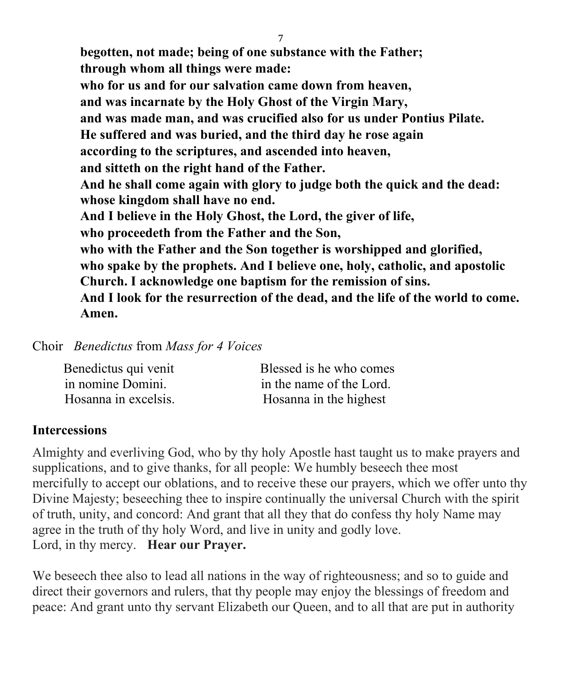**begotten, not made; being of one substance with the Father; through whom all things were made: who for us and for our salvation came down from heaven, and was incarnate by the Holy Ghost of the Virgin Mary, and was made man, and was crucified also for us under Pontius Pilate. He suffered and was buried, and the third day he rose again according to the scriptures, and ascended into heaven, and sitteth on the right hand of the Father. And he shall come again with glory to judge both the quick and the dead: whose kingdom shall have no end. And I believe in the Holy Ghost, the Lord, the giver of life, who proceedeth from the Father and the Son, who with the Father and the Son together is worshipped and glorified, who spake by the prophets. And I believe one, holy, catholic, and apostolic Church. I acknowledge one baptism for the remission of sins. And I look for the resurrection of the dead, and the life of the world to come. Amen.**

7

Choir *Benedictus* from *Mass for 4 Voices*

| Benedictus qui venit | Blessed is he who comes  |
|----------------------|--------------------------|
| in nomine Domini.    | in the name of the Lord. |
| Hosanna in excelsis. | Hosanna in the highest   |

### **Intercessions**

Almighty and everliving God, who by thy holy Apostle hast taught us to make prayers and supplications, and to give thanks, for all people: We humbly beseech thee most mercifully to accept our oblations, and to receive these our prayers, which we offer unto thy Divine Majesty; beseeching thee to inspire continually the universal Church with the spirit of truth, unity, and concord: And grant that all they that do confess thy holy Name may agree in the truth of thy holy Word, and live in unity and godly love. Lord, in thy mercy. **Hear our Prayer.**

We beseech thee also to lead all nations in the way of righteousness; and so to guide and direct their governors and rulers, that thy people may enjoy the blessings of freedom and peace: And grant unto thy servant Elizabeth our Queen, and to all that are put in authority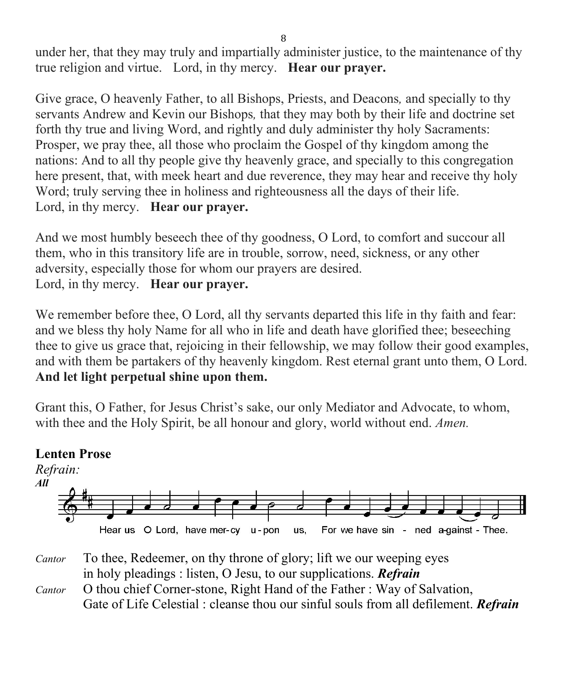8

under her, that they may truly and impartially administer justice, to the maintenance of thy true religion and virtue. Lord, in thy mercy. **Hear our prayer.**

Give grace, O heavenly Father, to all Bishops, Priests, and Deacons*,* and specially to thy servants Andrew and Kevin our Bishops*,* that they may both by their life and doctrine set forth thy true and living Word, and rightly and duly administer thy holy Sacraments: Prosper, we pray thee, all those who proclaim the Gospel of thy kingdom among the nations: And to all thy people give thy heavenly grace, and specially to this congregation here present, that, with meek heart and due reverence, they may hear and receive thy holy Word; truly serving thee in holiness and righteousness all the days of their life. Lord, in thy mercy. **Hear our prayer.**

And we most humbly beseech thee of thy goodness, O Lord, to comfort and succour all them, who in this transitory life are in trouble, sorrow, need, sickness, or any other adversity, especially those for whom our prayers are desired. Lord, in thy mercy. **Hear our prayer.**

We remember before thee, O Lord, all thy servants departed this life in thy faith and fear: and we bless thy holy Name for all who in life and death have glorified thee; beseeching thee to give us grace that, rejoicing in their fellowship, we may follow their good examples, and with them be partakers of thy heavenly kingdom. Rest eternal grant unto them, O Lord. **And let light perpetual shine upon them.**

Grant this, O Father, for Jesus Christ's sake, our only Mediator and Advocate, to whom, with thee and the Holy Spirit, be all honour and glory, world without end. *Amen.*

### **Lenten Prose** *Refrain: All* For we have sin - ned a-gainst - Thee. Hear us O Lord, have mer-cy u-pon us.

- *Cantor* To thee, Redeemer, on thy throne of glory; lift we our weeping eyes in holy pleadings : listen, O Jesu, to our supplications. *Refrain*
- *Cantor* O thou chief Corner-stone, Right Hand of the Father : Way of Salvation, Gate of Life Celestial : cleanse thou our sinful souls from all defilement. *Refrain*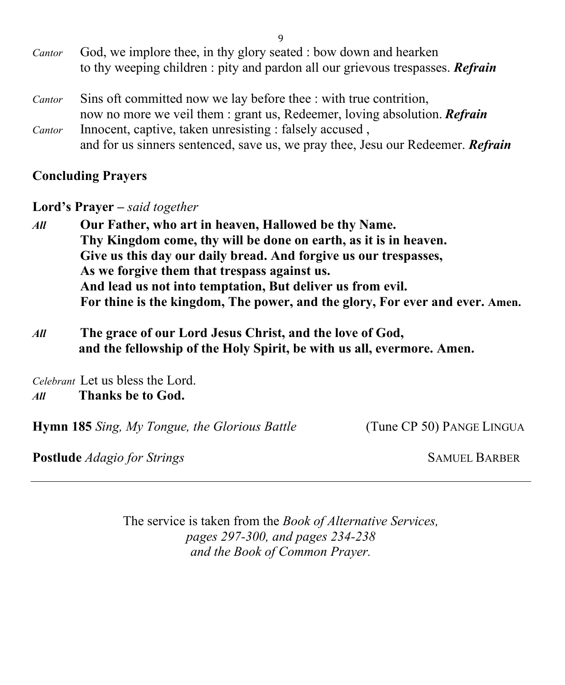9

- *Cantor* God, we implore thee, in thy glory seated : bow down and hearken to thy weeping children : pity and pardon all our grievous trespasses. *Refrain*
- *Cantor* Sins oft committed now we lay before thee : with true contrition, now no more we veil them : grant us, Redeemer, loving absolution. *Refrain Cantor* Innocent, captive, taken unresisting : falsely accused ,
- and for us sinners sentenced, save us, we pray thee, Jesu our Redeemer. *Refrain*

### **Concluding Prayers**

### **Lord's Prayer –** *said together*

- *All* **Our Father, who art in heaven, Hallowed be thy Name. Thy Kingdom come, thy will be done on earth, as it is in heaven. Give us this day our daily bread. And forgive us our trespasses, As we forgive them that trespass against us. And lead us not into temptation, But deliver us from evil. For thine is the kingdom, The power, and the glory, For ever and ever. Amen.**
- *All* **The grace of our Lord Jesus Christ, and the love of God,**  **and the fellowship of the Holy Spirit, be with us all, evermore. Amen.**

*Celebrant* Let us bless the Lord. *All* **Thanks be to God.**

**Hymn 185** *Sing, My Tongue, the Glorious Battle* (Tune CP 50) PANGE LINGUA

**Postlude** *Adagio for Strings* SAMUEL BARBER

The service is taken from the *Book of Alternative Services, pages 297-300, and pages 234-238 and the Book of Common Prayer.*